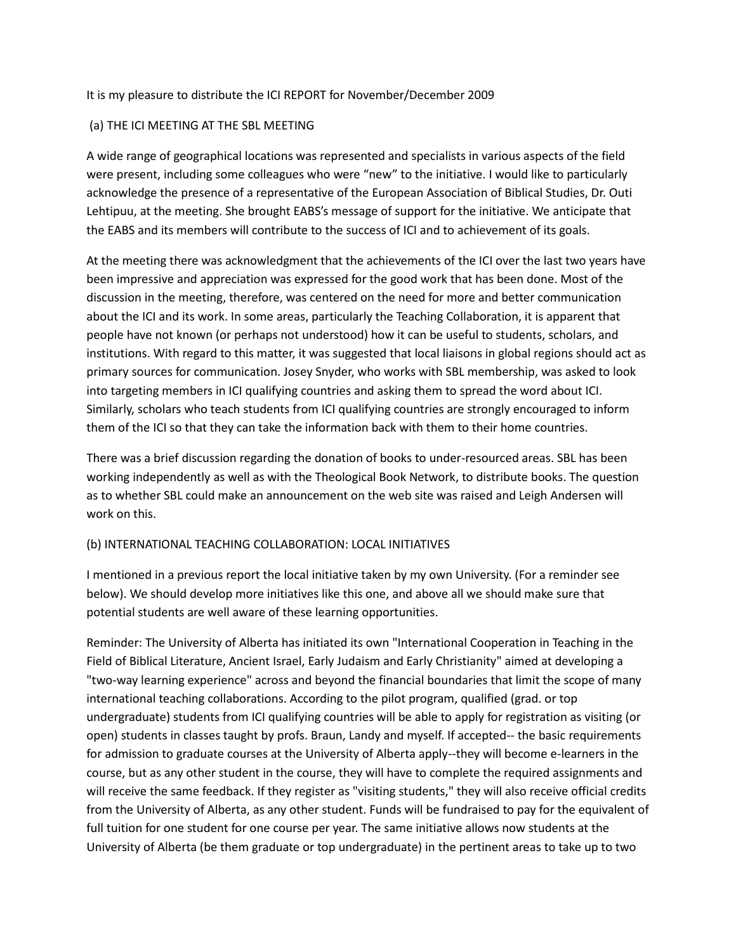#### It is my pleasure to distribute the ICI REPORT for November/December 2009

#### (a) THE ICI MEETING AT THE SBL MEETING

A wide range of geographical locations was represented and specialists in various aspects of the field were present, including some colleagues who were "new" to the initiative. I would like to particularly acknowledge the presence of a representative of the European Association of Biblical Studies, Dr. Outi Lehtipuu, at the meeting. She brought EABS's message of support for the initiative. We anticipate that the EABS and its members will contribute to the success of ICI and to achievement of its goals.

At the meeting there was acknowledgment that the achievements of the ICI over the last two years have been impressive and appreciation was expressed for the good work that has been done. Most of the discussion in the meeting, therefore, was centered on the need for more and better communication about the ICI and its work. In some areas, particularly the Teaching Collaboration, it is apparent that people have not known (or perhaps not understood) how it can be useful to students, scholars, and institutions. With regard to this matter, it was suggested that local liaisons in global regions should act as primary sources for communication. Josey Snyder, who works with SBL membership, was asked to look into targeting members in ICI qualifying countries and asking them to spread the word about ICI. Similarly, scholars who teach students from ICI qualifying countries are strongly encouraged to inform them of the ICI so that they can take the information back with them to their home countries.

There was a brief discussion regarding the donation of books to under-resourced areas. SBL has been working independently as well as with the Theological Book Network, to distribute books. The question as to whether SBL could make an announcement on the web site was raised and Leigh Andersen will work on this.

#### (b) INTERNATIONAL TEACHING COLLABORATION: LOCAL INITIATIVES

I mentioned in a previous report the local initiative taken by my own University. (For a reminder see below). We should develop more initiatives like this one, and above all we should make sure that potential students are well aware of these learning opportunities.

Reminder: The University of Alberta has initiated its own "International Cooperation in Teaching in the Field of Biblical Literature, Ancient Israel, Early Judaism and Early Christianity" aimed at developing a "two-way learning experience" across and beyond the financial boundaries that limit the scope of many international teaching collaborations. According to the pilot program, qualified (grad. or top undergraduate) students from ICI qualifying countries will be able to apply for registration as visiting (or open) students in classes taught by profs. Braun, Landy and myself. If accepted-- the basic requirements for admission to graduate courses at the University of Alberta apply--they will become e-learners in the course, but as any other student in the course, they will have to complete the required assignments and will receive the same feedback. If they register as "visiting students," they will also receive official credits from the University of Alberta, as any other student. Funds will be fundraised to pay for the equivalent of full tuition for one student for one course per year. The same initiative allows now students at the University of Alberta (be them graduate or top undergraduate) in the pertinent areas to take up to two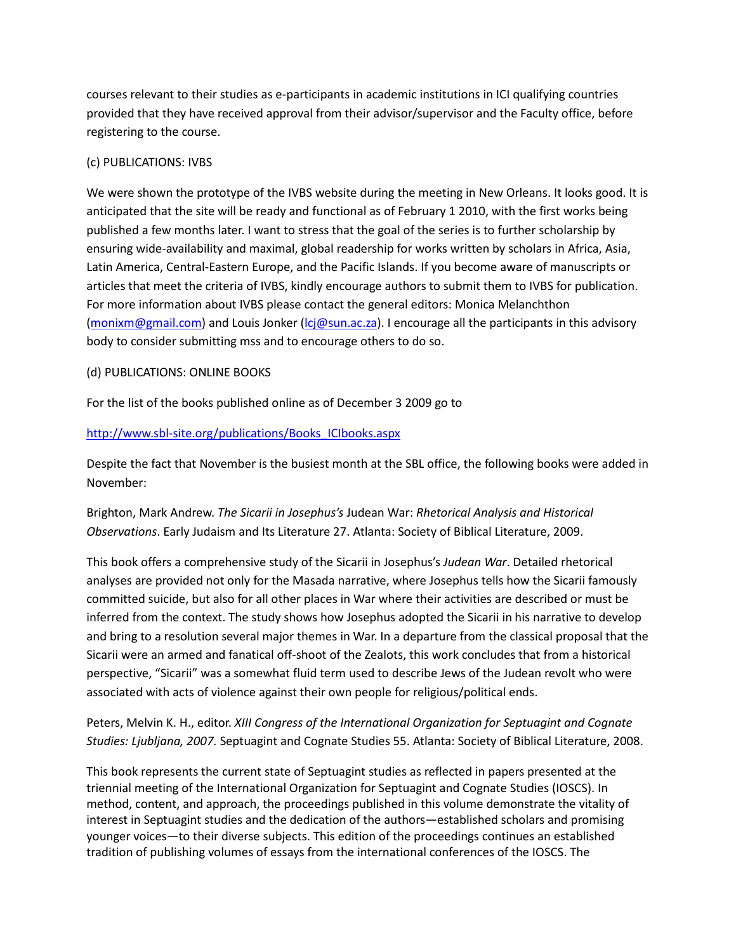courses relevant to their studies as e-participants in academic institutions in ICI qualifying countries provided that they have received approval from their advisor/supervisor and the Faculty office, before registering to the course.

## (c) PUBLICATIONS: IVBS

We were shown the prototype of the IVBS website during the meeting in New Orleans. It looks good. It is anticipated that the site will be ready and functional as of February 1 2010, with the first works being published a few months later. I want to stress that the goal of the series is to further scholarship by ensuring wide-availability and maximal, global readership for works written by scholars in Africa, Asia, Latin America, Central-Eastern Europe, and the Pacific Islands. If you become aware of manuscripts or articles that meet the criteria of IVBS, kindly encourage authors to submit them to IVBS for publication. For more information about IVBS please contact the general editors: Monica Melanchthon (monixm@gmail.com) and Louis Jonker (lcj@sun.ac.za). I encourage all the participants in this advisory body to consider submitting mss and to encourage others to do so.

## (d) PUBLICATIONS: ONLINE BOOKS

For the list of the books published online as of December 3 2009 go to

http://www.sbl-site.org/publications/Books\_ICIbooks.aspx

Despite the fact that November is the busiest month at the SBL office, the following books were added in November:

Brighton, Mark Andrew. *The Sicarii in Josephus's* Judean War: *Rhetorical Analysis and Historical Observations*. Early Judaism and Its Literature 27. Atlanta: Society of Biblical Literature, 2009.

This book offers a comprehensive study of the Sicarii in Josephus's *Judean War*. Detailed rhetorical analyses are provided not only for the Masada narrative, where Josephus tells how the Sicarii famously committed suicide, but also for all other places in War where their activities are described or must be inferred from the context. The study shows how Josephus adopted the Sicarii in his narrative to develop and bring to a resolution several major themes in War. In a departure from the classical proposal that the Sicarii were an armed and fanatical off-shoot of the Zealots, this work concludes that from a historical perspective, "Sicarii" was a somewhat fluid term used to describe Jews of the Judean revolt who were associated with acts of violence against their own people for religious/political ends.

Peters, Melvin K. H., editor. *XIII Congress of the International Organization for Septuagint and Cognate Studies: Ljubljana, 2007.* Septuagint and Cognate Studies 55. Atlanta: Society of Biblical Literature, 2008.

This book represents the current state of Septuagint studies as reflected in papers presented at the triennial meeting of the International Organization for Septuagint and Cognate Studies (IOSCS). In method, content, and approach, the proceedings published in this volume demonstrate the vitality of interest in Septuagint studies and the dedication of the authors—established scholars and promising younger voices—to their diverse subjects. This edition of the proceedings continues an established tradition of publishing volumes of essays from the international conferences of the IOSCS. The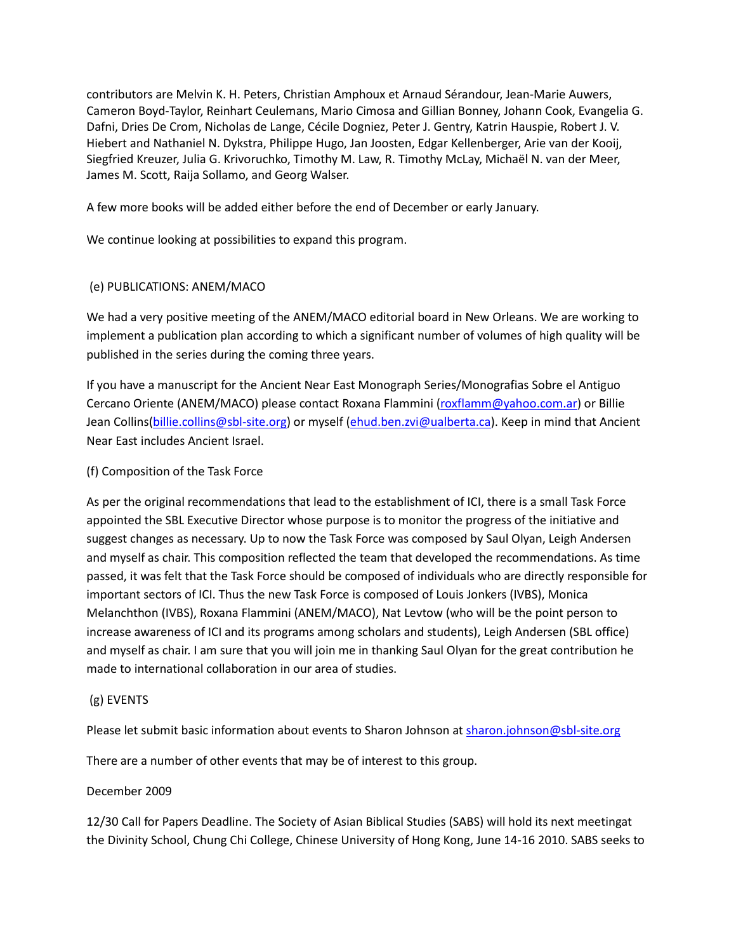contributors are Melvin K. H. Peters, Christian Amphoux et Arnaud Sérandour, Jean-Marie Auwers, Cameron Boyd-Taylor, Reinhart Ceulemans, Mario Cimosa and Gillian Bonney, Johann Cook, Evangelia G. Dafni, Dries De Crom, Nicholas de Lange, Cécile Dogniez, Peter J. Gentry, Katrin Hauspie, Robert J. V. Hiebert and Nathaniel N. Dykstra, Philippe Hugo, Jan Joosten, Edgar Kellenberger, Arie van der Kooij, Siegfried Kreuzer, Julia G. Krivoruchko, Timothy M. Law, R. Timothy McLay, Michaël N. van der Meer, James M. Scott, Raija Sollamo, and Georg Walser.

A few more books will be added either before the end of December or early January.

We continue looking at possibilities to expand this program.

## (e) PUBLICATIONS: ANEM/MACO

We had a very positive meeting of the ANEM/MACO editorial board in New Orleans. We are working to implement a publication plan according to which a significant number of volumes of high quality will be published in the series during the coming three years.

If you have a manuscript for the Ancient Near East Monograph Series/Monografias Sobre el Antiguo Cercano Oriente (ANEM/MACO) please contact Roxana Flammini (roxflamm@yahoo.com.ar) or Billie Jean Collins(billie.collins@sbl-site.org) or myself (ehud.ben.zvi@ualberta.ca). Keep in mind that Ancient Near East includes Ancient Israel.

## (f) Composition of the Task Force

As per the original recommendations that lead to the establishment of ICI, there is a small Task Force appointed the SBL Executive Director whose purpose is to monitor the progress of the initiative and suggest changes as necessary. Up to now the Task Force was composed by Saul Olyan, Leigh Andersen and myself as chair. This composition reflected the team that developed the recommendations. As time passed, it was felt that the Task Force should be composed of individuals who are directly responsible for important sectors of ICI. Thus the new Task Force is composed of Louis Jonkers (IVBS), Monica Melanchthon (IVBS), Roxana Flammini (ANEM/MACO), Nat Levtow (who will be the point person to increase awareness of ICI and its programs among scholars and students), Leigh Andersen (SBL office) and myself as chair. I am sure that you will join me in thanking Saul Olyan for the great contribution he made to international collaboration in our area of studies.

### (g) EVENTS

Please let submit basic information about events to Sharon Johnson at sharon.johnson@sbl-site.org

There are a number of other events that may be of interest to this group.

### December 2009

12/30 Call for Papers Deadline. The Society of Asian Biblical Studies (SABS) will hold its next meetingat the Divinity School, Chung Chi College, Chinese University of Hong Kong, June 14-16 2010. SABS seeks to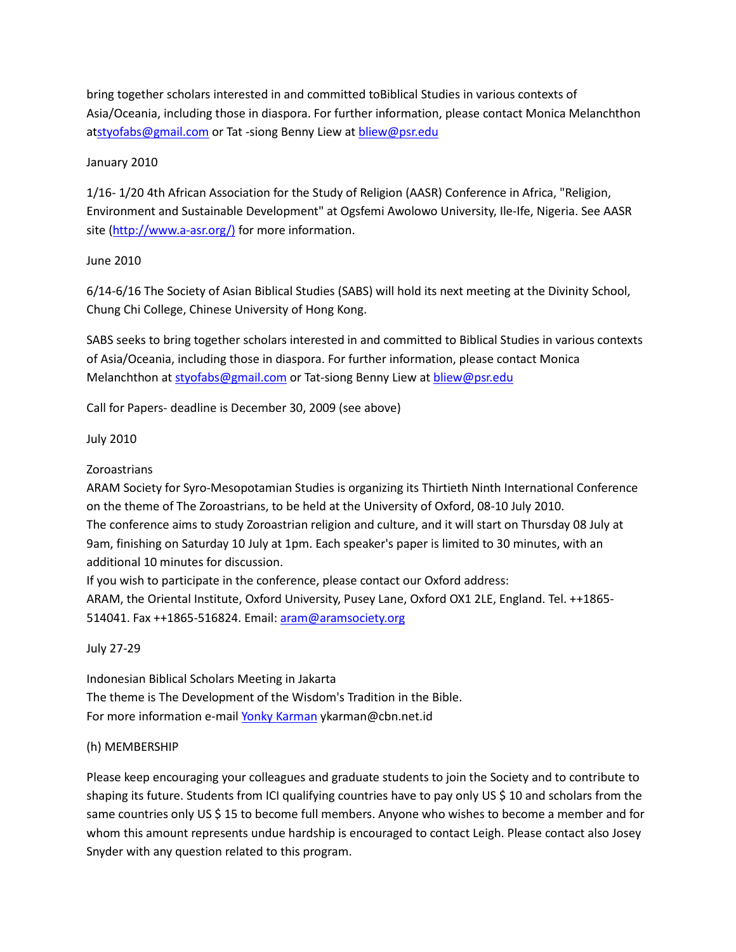bring together scholars interested in and committed toBiblical Studies in various contexts of Asia/Oceania, including those in diaspora. For further information, please contact Monica Melanchthon atstyofabs@gmail.com or Tat -siong Benny Liew at bliew@psr.edu

# January 2010

1/16- 1/20 4th African Association for the Study of Religion (AASR) Conference in Africa, "Religion, Environment and Sustainable Development" at Ogsfemi Awolowo University, Ile-Ife, Nigeria. See AASR site (http://www.a-asr.org/) for more information.

## June 2010

6/14-6/16 The Society of Asian Biblical Studies (SABS) will hold its next meeting at the Divinity School, Chung Chi College, Chinese University of Hong Kong.

SABS seeks to bring together scholars interested in and committed to Biblical Studies in various contexts of Asia/Oceania, including those in diaspora. For further information, please contact Monica Melanchthon at styofabs@gmail.com or Tat-siong Benny Liew at bliew@psr.edu

Call for Papers- deadline is December 30, 2009 (see above)

## July 2010

# Zoroastrians

ARAM Society for Syro-Mesopotamian Studies is organizing its Thirtieth Ninth International Conference on the theme of The Zoroastrians, to be held at the University of Oxford, 08-10 July 2010. The conference aims to study Zoroastrian religion and culture, and it will start on Thursday 08 July at 9am, finishing on Saturday 10 July at 1pm. Each speaker's paper is limited to 30 minutes, with an additional 10 minutes for discussion.

If you wish to participate in the conference, please contact our Oxford address: ARAM, the Oriental Institute, Oxford University, Pusey Lane, Oxford OX1 2LE, England. Tel. ++1865 514041. Fax ++1865-516824. Email: [aram@aramsociety.org](mailto:aram@aramsociety.org)

July 27-29

Indonesian Biblical Scholars Meeting in Jakarta The theme is The Development of the Wisdom's Tradition in the Bible. For more information e-mail Yonky Karman ykarman@cbn.net.id

### (h) MEMBERSHIP

Please keep encouraging your colleagues and graduate students to join the Society and to contribute to shaping its future. Students from ICI qualifying countries have to pay only US \$ 10 and scholars from the same countries only US \$ 15 to become full members. Anyone who wishes to become a member and for whom this amount represents undue hardship is encouraged to contact Leigh. Please contact also Josey Snyder with any question related to this program.